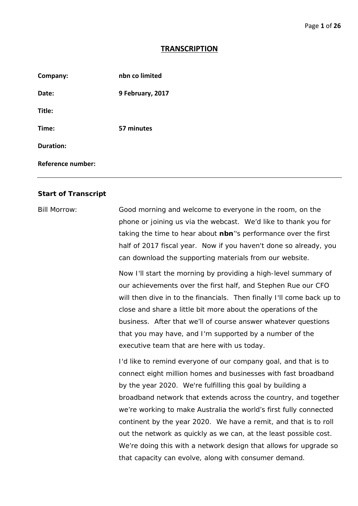## **TRANSCRIPTION**

| Company:                 | nbn co limited   |
|--------------------------|------------------|
| Date:                    | 9 February, 2017 |
| Title:                   |                  |
| Time:                    | 57 minutes       |
| <b>Duration:</b>         |                  |
| <b>Reference number:</b> |                  |

## **Start of Transcript**

Bill Morrow: Good morning and welcome to everyone in the room, on the phone or joining us via the webcast. We'd like to thank you for taking the time to hear about **nbn**''s performance over the first half of 2017 fiscal year. Now if you haven't done so already, you can download the supporting materials from our website.

> Now I'll start the morning by providing a high-level summary of our achievements over the first half, and Stephen Rue our CFO will then dive in to the financials. Then finally I'll come back up to close and share a little bit more about the operations of the business. After that we'll of course answer whatever questions that you may have, and I'm supported by a number of the executive team that are here with us today.

> I'd like to remind everyone of our company goal, and that is to connect eight million homes and businesses with fast broadband by the year 2020. We're fulfilling this goal by building a broadband network that extends across the country, and together we're working to make Australia the world's first fully connected continent by the year 2020. We have a remit, and that is to roll out the network as quickly as we can, at the least possible cost. We're doing this with a network design that allows for upgrade so that capacity can evolve, along with consumer demand.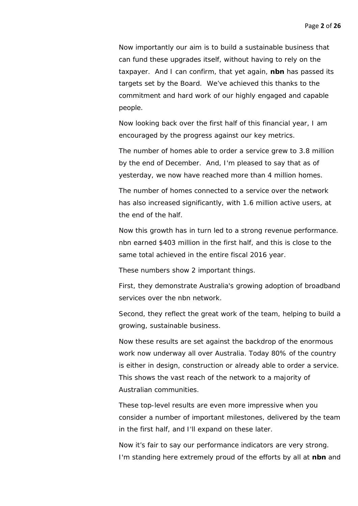Now importantly our aim is to build a sustainable business that can fund these upgrades itself, without having to rely on the taxpayer. And I can confirm, that yet again, **nbn** has passed its targets set by the Board. We've achieved this thanks to the commitment and hard work of our highly engaged and capable people.

Now looking back over the first half of this financial year, I am encouraged by the progress against our key metrics.

The number of homes able to order a service grew to 3.8 million by the end of December. And, I'm pleased to say that as of yesterday, we now have reached more than 4 million homes.

The number of homes connected to a service over the network has also increased significantly, with 1.6 million active users, at the end of the half.

Now this growth has in turn led to a strong revenue performance. nbn earned \$403 million in the first half, and this is close to the same total achieved in the entire fiscal 2016 year.

These numbers show 2 important things.

First, they demonstrate Australia's growing adoption of broadband services over the nbn network.

Second, they reflect the great work of the team, helping to build a growing, sustainable business.

Now these results are set against the backdrop of the enormous work now underway all over Australia. Today 80% of the country is either in design, construction or already able to order a service. This shows the vast reach of the network to a majority of Australian communities.

These top-level results are even more impressive when you consider a number of important milestones, delivered by the team in the first half, and I'll expand on these later.

Now it's fair to say our performance indicators are very strong. I'm standing here extremely proud of the efforts by all at **nbn** and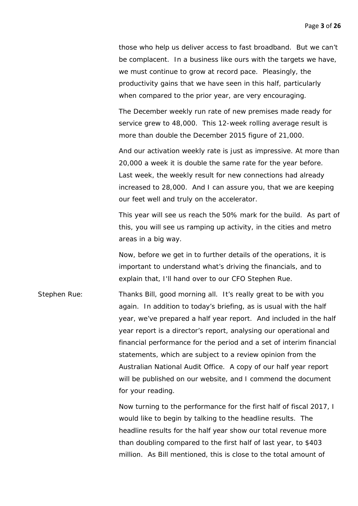those who help us deliver access to fast broadband. But we can't be complacent. In a business like ours with the targets we have, we must continue to grow at record pace. Pleasingly, the productivity gains that we have seen in this half, particularly when compared to the prior year, are very encouraging.

The December weekly run rate of new premises made ready for service grew to 48,000. This 12-week rolling average result is more than double the December 2015 figure of 21,000.

And our activation weekly rate is just as impressive. At more than 20,000 a week it is double the same rate for the year before. Last week, the weekly result for new connections had already increased to 28,000. And I can assure you, that we are keeping our feet well and truly on the accelerator.

This year will see us reach the 50% mark for the build. As part of this, you will see us ramping up activity, in the cities and metro areas in a big way.

Now, before we get in to further details of the operations, it is important to understand what's driving the financials, and to explain that, I'll hand over to our CFO Stephen Rue.

Stephen Rue: Thanks Bill, good morning all. It's really great to be with you again. In addition to today's briefing, as is usual with the half year, we've prepared a half year report. And included in the half year report is a director's report, analysing our operational and financial performance for the period and a set of interim financial statements, which are subject to a review opinion from the Australian National Audit Office. A copy of our half year report will be published on our website, and I commend the document for your reading.

> Now turning to the performance for the first half of fiscal 2017, I would like to begin by talking to the headline results. The headline results for the half year show our total revenue more than doubling compared to the first half of last year, to \$403 million. As Bill mentioned, this is close to the total amount of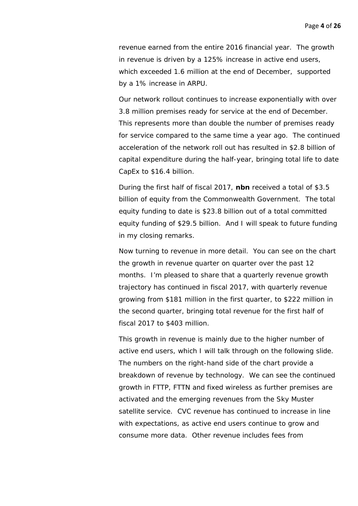revenue earned from the entire 2016 financial year. The growth in revenue is driven by a 125% increase in active end users, which exceeded 1.6 million at the end of December, supported by a 1% increase in ARPU.

Our network rollout continues to increase exponentially with over 3.8 million premises ready for service at the end of December. This represents more than double the number of premises ready for service compared to the same time a year ago. The continued acceleration of the network roll out has resulted in \$2.8 billion of capital expenditure during the half-year, bringing total life to date CapEx to \$16.4 billion.

During the first half of fiscal 2017, **nbn** received a total of \$3.5 billion of equity from the Commonwealth Government. The total equity funding to date is \$23.8 billion out of a total committed equity funding of \$29.5 billion. And I will speak to future funding in my closing remarks.

Now turning to revenue in more detail. You can see on the chart the growth in revenue quarter on quarter over the past 12 months. I'm pleased to share that a quarterly revenue growth trajectory has continued in fiscal 2017, with quarterly revenue growing from \$181 million in the first quarter, to \$222 million in the second quarter, bringing total revenue for the first half of fiscal 2017 to \$403 million.

This growth in revenue is mainly due to the higher number of active end users, which I will talk through on the following slide. The numbers on the right-hand side of the chart provide a breakdown of revenue by technology. We can see the continued growth in FTTP, FTTN and fixed wireless as further premises are activated and the emerging revenues from the Sky Muster satellite service. CVC revenue has continued to increase in line with expectations, as active end users continue to grow and consume more data. Other revenue includes fees from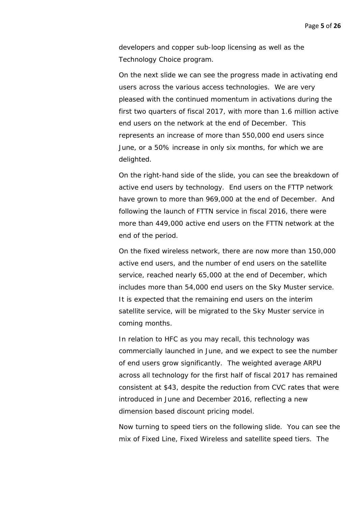developers and copper sub-loop licensing as well as the Technology Choice program.

On the next slide we can see the progress made in activating end users across the various access technologies. We are very pleased with the continued momentum in activations during the first two quarters of fiscal 2017, with more than 1.6 million active end users on the network at the end of December. This represents an increase of more than 550,000 end users since June, or a 50% increase in only six months, for which we are delighted.

On the right-hand side of the slide, you can see the breakdown of active end users by technology. End users on the FTTP network have grown to more than 969,000 at the end of December. And following the launch of FTTN service in fiscal 2016, there were more than 449,000 active end users on the FTTN network at the end of the period.

On the fixed wireless network, there are now more than 150,000 active end users, and the number of end users on the satellite service, reached nearly 65,000 at the end of December, which includes more than 54,000 end users on the Sky Muster service. It is expected that the remaining end users on the interim satellite service, will be migrated to the Sky Muster service in coming months.

In relation to HFC as you may recall, this technology was commercially launched in June, and we expect to see the number of end users grow significantly. The weighted average ARPU across all technology for the first half of fiscal 2017 has remained consistent at \$43, despite the reduction from CVC rates that were introduced in June and December 2016, reflecting a new dimension based discount pricing model.

Now turning to speed tiers on the following slide. You can see the mix of Fixed Line, Fixed Wireless and satellite speed tiers. The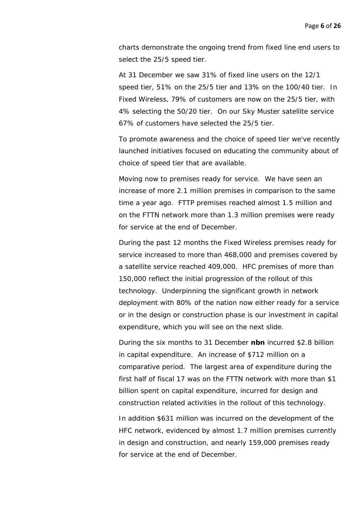charts demonstrate the ongoing trend from fixed line end users to select the 25/5 speed tier.

At 31 December we saw 31% of fixed line users on the 12/1 speed tier, 51% on the 25/5 tier and 13% on the 100/40 tier. In Fixed Wireless, 79% of customers are now on the 25/5 tier, with 4% selecting the 50/20 tier. On our Sky Muster satellite service 67% of customers have selected the 25/5 tier.

To promote awareness and the choice of speed tier we've recently launched initiatives focused on educating the community about of choice of speed tier that are available.

Moving now to premises ready for service. We have seen an increase of more 2.1 million premises in comparison to the same time a year ago. FTTP premises reached almost 1.5 million and on the FTTN network more than 1.3 million premises were ready for service at the end of December.

During the past 12 months the Fixed Wireless premises ready for service increased to more than 468,000 and premises covered by a satellite service reached 409,000. HFC premises of more than 150,000 reflect the initial progression of the rollout of this technology. Underpinning the significant growth in network deployment with 80% of the nation now either ready for a service or in the design or construction phase is our investment in capital expenditure, which you will see on the next slide.

During the six months to 31 December **nbn** incurred \$2.8 billion in capital expenditure. An increase of \$712 million on a comparative period. The largest area of expenditure during the first half of fiscal 17 was on the FTTN network with more than \$1 billion spent on capital expenditure, incurred for design and construction related activities in the rollout of this technology.

In addition \$631 million was incurred on the development of the HFC network, evidenced by almost 1.7 million premises currently in design and construction, and nearly 159,000 premises ready for service at the end of December.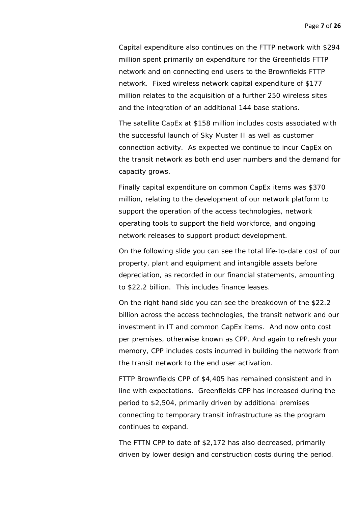Capital expenditure also continues on the FTTP network with \$294 million spent primarily on expenditure for the Greenfields FTTP network and on connecting end users to the Brownfields FTTP network. Fixed wireless network capital expenditure of \$177 million relates to the acquisition of a further 250 wireless sites and the integration of an additional 144 base stations.

The satellite CapEx at \$158 million includes costs associated with the successful launch of Sky Muster II as well as customer connection activity. As expected we continue to incur CapEx on the transit network as both end user numbers and the demand for capacity grows.

Finally capital expenditure on common CapEx items was \$370 million, relating to the development of our network platform to support the operation of the access technologies, network operating tools to support the field workforce, and ongoing network releases to support product development.

On the following slide you can see the total life-to-date cost of our property, plant and equipment and intangible assets before depreciation, as recorded in our financial statements, amounting to \$22.2 billion. This includes finance leases.

On the right hand side you can see the breakdown of the \$22.2 billion across the access technologies, the transit network and our investment in IT and common CapEx items. And now onto cost per premises, otherwise known as CPP. And again to refresh your memory, CPP includes costs incurred in building the network from the transit network to the end user activation.

FTTP Brownfields CPP of \$4,405 has remained consistent and in line with expectations. Greenfields CPP has increased during the period to \$2,504, primarily driven by additional premises connecting to temporary transit infrastructure as the program continues to expand.

The FTTN CPP to date of \$2,172 has also decreased, primarily driven by lower design and construction costs during the period.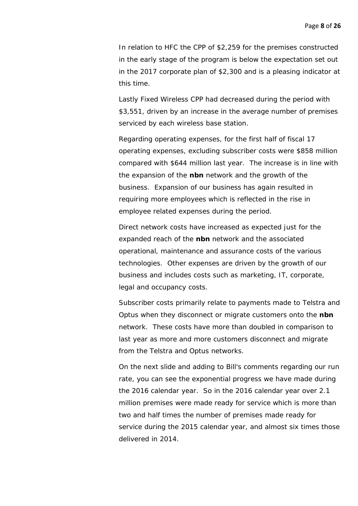In relation to HFC the CPP of \$2,259 for the premises constructed in the early stage of the program is below the expectation set out in the 2017 corporate plan of \$2,300 and is a pleasing indicator at this time.

Lastly Fixed Wireless CPP had decreased during the period with \$3,551, driven by an increase in the average number of premises serviced by each wireless base station.

Regarding operating expenses, for the first half of fiscal 17 operating expenses, excluding subscriber costs were \$858 million compared with \$644 million last year. The increase is in line with the expansion of the **nbn** network and the growth of the business. Expansion of our business has again resulted in requiring more employees which is reflected in the rise in employee related expenses during the period.

Direct network costs have increased as expected just for the expanded reach of the **nbn** network and the associated operational, maintenance and assurance costs of the various technologies. Other expenses are driven by the growth of our business and includes costs such as marketing, IT, corporate, legal and occupancy costs.

Subscriber costs primarily relate to payments made to Telstra and Optus when they disconnect or migrate customers onto the **nbn** network. These costs have more than doubled in comparison to last year as more and more customers disconnect and migrate from the Telstra and Optus networks.

On the next slide and adding to Bill's comments regarding our run rate, you can see the exponential progress we have made during the 2016 calendar year. So in the 2016 calendar year over 2.1 million premises were made ready for service which is more than two and half times the number of premises made ready for service during the 2015 calendar year, and almost six times those delivered in 2014.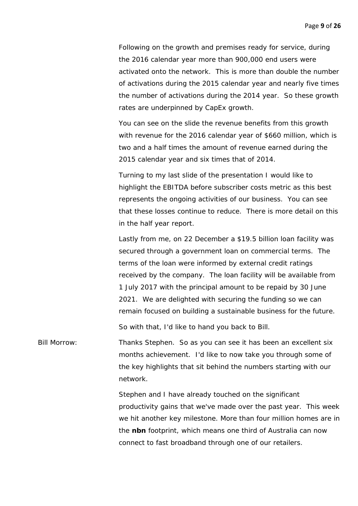Following on the growth and premises ready for service, during the 2016 calendar year more than 900,000 end users were activated onto the network. This is more than double the number of activations during the 2015 calendar year and nearly five times the number of activations during the 2014 year. So these growth rates are underpinned by CapEx growth.

You can see on the slide the revenue benefits from this growth with revenue for the 2016 calendar year of \$660 million, which is two and a half times the amount of revenue earned during the 2015 calendar year and six times that of 2014.

Turning to my last slide of the presentation I would like to highlight the EBITDA before subscriber costs metric as this best represents the ongoing activities of our business. You can see that these losses continue to reduce. There is more detail on this in the half year report.

Lastly from me, on 22 December a \$19.5 billion loan facility was secured through a government loan on commercial terms. The terms of the loan were informed by external credit ratings received by the company. The loan facility will be available from 1 July 2017 with the principal amount to be repaid by 30 June 2021. We are delighted with securing the funding so we can remain focused on building a sustainable business for the future.

So with that, I'd like to hand you back to Bill.

Bill Morrow: Thanks Stephen. So as you can see it has been an excellent six months achievement. I'd like to now take you through some of the key highlights that sit behind the numbers starting with our network.

> Stephen and I have already touched on the significant productivity gains that we've made over the past year. This week we hit another key milestone. More than four million homes are in the **nbn** footprint, which means one third of Australia can now connect to fast broadband through one of our retailers.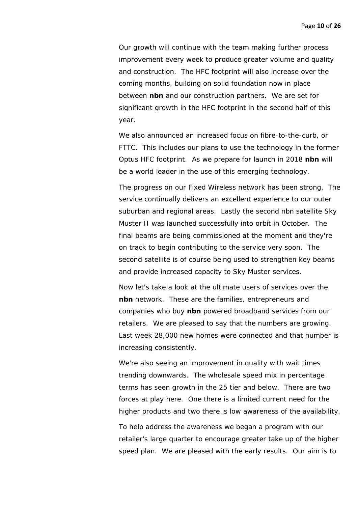Our growth will continue with the team making further process improvement every week to produce greater volume and quality and construction. The HFC footprint will also increase over the coming months, building on solid foundation now in place between **nbn** and our construction partners. We are set for significant growth in the HFC footprint in the second half of this year.

We also announced an increased focus on fibre-to-the-curb, or FTTC. This includes our plans to use the technology in the former Optus HFC footprint. As we prepare for launch in 2018 **nbn** will be a world leader in the use of this emerging technology.

The progress on our Fixed Wireless network has been strong. The service continually delivers an excellent experience to our outer suburban and regional areas. Lastly the second nbn satellite Sky Muster II was launched successfully into orbit in October. The final beams are being commissioned at the moment and they're on track to begin contributing to the service very soon. The second satellite is of course being used to strengthen key beams and provide increased capacity to Sky Muster services.

Now let's take a look at the ultimate users of services over the **nbn** network. These are the families, entrepreneurs and companies who buy **nbn** powered broadband services from our retailers. We are pleased to say that the numbers are growing. Last week 28,000 new homes were connected and that number is increasing consistently.

We're also seeing an improvement in quality with wait times trending downwards. The wholesale speed mix in percentage terms has seen growth in the 25 tier and below. There are two forces at play here. One there is a limited current need for the higher products and two there is low awareness of the availability.

To help address the awareness we began a program with our retailer's large quarter to encourage greater take up of the higher speed plan. We are pleased with the early results. Our aim is to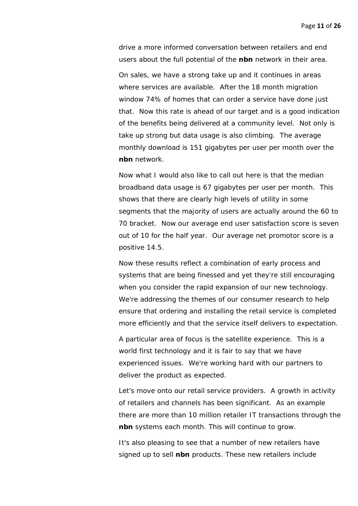drive a more informed conversation between retailers and end users about the full potential of the **nbn** network in their area.

On sales, we have a strong take up and it continues in areas where services are available. After the 18 month migration window 74% of homes that can order a service have done just that. Now this rate is ahead of our target and is a good indication of the benefits being delivered at a community level. Not only is take up strong but data usage is also climbing. The average monthly download is 151 gigabytes per user per month over the **nbn** network.

Now what I would also like to call out here is that the median broadband data usage is 67 gigabytes per user per month. This shows that there are clearly high levels of utility in some segments that the majority of users are actually around the 60 to 70 bracket. Now our average end user satisfaction score is seven out of 10 for the half year. Our average net promotor score is a positive 14.5.

Now these results reflect a combination of early process and systems that are being finessed and yet they're still encouraging when you consider the rapid expansion of our new technology. We're addressing the themes of our consumer research to help ensure that ordering and installing the retail service is completed more efficiently and that the service itself delivers to expectation.

A particular area of focus is the satellite experience. This is a world first technology and it is fair to say that we have experienced issues. We're working hard with our partners to deliver the product as expected.

Let's move onto our retail service providers. A growth in activity of retailers and channels has been significant. As an example there are more than 10 million retailer IT transactions through the **nbn** systems each month. This will continue to grow.

It's also pleasing to see that a number of new retailers have signed up to sell **nbn** products. These new retailers include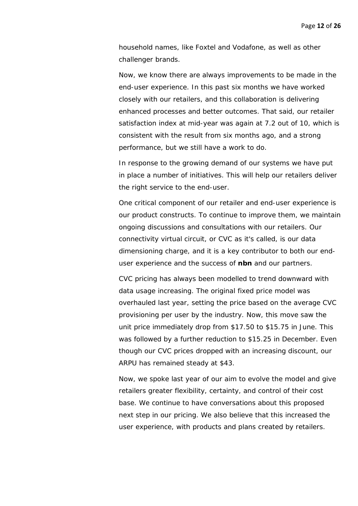household names, like Foxtel and Vodafone, as well as other challenger brands.

Now, we know there are always improvements to be made in the end-user experience. In this past six months we have worked closely with our retailers, and this collaboration is delivering enhanced processes and better outcomes. That said, our retailer satisfaction index at mid-year was again at 7.2 out of 10, which is consistent with the result from six months ago, and a strong performance, but we still have a work to do.

In response to the growing demand of our systems we have put in place a number of initiatives. This will help our retailers deliver the right service to the end-user.

One critical component of our retailer and end-user experience is our product constructs. To continue to improve them, we maintain ongoing discussions and consultations with our retailers. Our connectivity virtual circuit, or CVC as it's called, is our data dimensioning charge, and it is a key contributor to both our enduser experience and the success of **nbn** and our partners.

CVC pricing has always been modelled to trend downward with data usage increasing. The original fixed price model was overhauled last year, setting the price based on the average CVC provisioning per user by the industry. Now, this move saw the unit price immediately drop from \$17.50 to \$15.75 in June. This was followed by a further reduction to \$15.25 in December. Even though our CVC prices dropped with an increasing discount, our ARPU has remained steady at \$43.

Now, we spoke last year of our aim to evolve the model and give retailers greater flexibility, certainty, and control of their cost base. We continue to have conversations about this proposed next step in our pricing. We also believe that this increased the user experience, with products and plans created by retailers.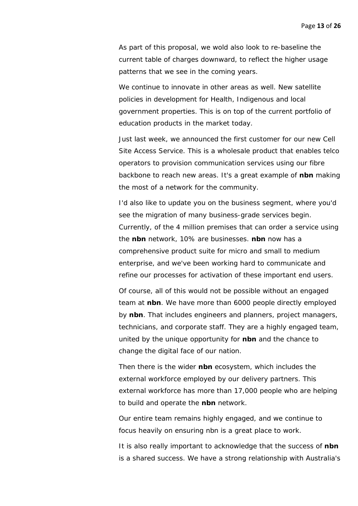As part of this proposal, we wold also look to re-baseline the current table of charges downward, to reflect the higher usage patterns that we see in the coming years.

We continue to innovate in other areas as well. New satellite policies in development for Health, Indigenous and local government properties. This is on top of the current portfolio of education products in the market today.

Just last week, we announced the first customer for our new Cell Site Access Service. This is a wholesale product that enables telco operators to provision communication services using our fibre backbone to reach new areas. It's a great example of **nbn** making the most of a network for the community.

I'd also like to update you on the business segment, where you'd see the migration of many business-grade services begin. Currently, of the 4 million premises that can order a service using the **nbn** network, 10% are businesses. **nbn** now has a comprehensive product suite for micro and small to medium enterprise, and we've been working hard to communicate and refine our processes for activation of these important end users.

Of course, all of this would not be possible without an engaged team at **nbn**. We have more than 6000 people directly employed by **nbn**. That includes engineers and planners, project managers, technicians, and corporate staff. They are a highly engaged team, united by the unique opportunity for **nbn** and the chance to change the digital face of our nation.

Then there is the wider **nbn** ecosystem, which includes the external workforce employed by our delivery partners. This external workforce has more than 17,000 people who are helping to build and operate the **nbn** network.

Our entire team remains highly engaged, and we continue to focus heavily on ensuring nbn is a great place to work.

It is also really important to acknowledge that the success of **nbn** is a shared success. We have a strong relationship with Australia's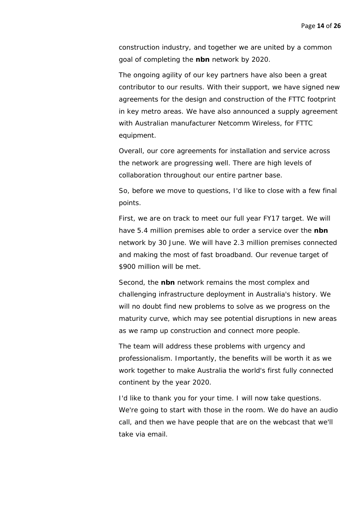construction industry, and together we are united by a common goal of completing the **nbn** network by 2020.

The ongoing agility of our key partners have also been a great contributor to our results. With their support, we have signed new agreements for the design and construction of the FTTC footprint in key metro areas. We have also announced a supply agreement with Australian manufacturer Netcomm Wireless, for FTTC equipment.

Overall, our core agreements for installation and service across the network are progressing well. There are high levels of collaboration throughout our entire partner base.

So, before we move to questions, I'd like to close with a few final points.

First, we are on track to meet our full year FY17 target. We will have 5.4 million premises able to order a service over the **nbn** network by 30 June. We will have 2.3 million premises connected and making the most of fast broadband. Our revenue target of \$900 million will be met.

Second, the **nbn** network remains the most complex and challenging infrastructure deployment in Australia's history. We will no doubt find new problems to solve as we progress on the maturity curve, which may see potential disruptions in new areas as we ramp up construction and connect more people.

The team will address these problems with urgency and professionalism. Importantly, the benefits will be worth it as we work together to make Australia the world's first fully connected continent by the year 2020.

I'd like to thank you for your time. I will now take questions. We're going to start with those in the room. We do have an audio call, and then we have people that are on the webcast that we'll take via email.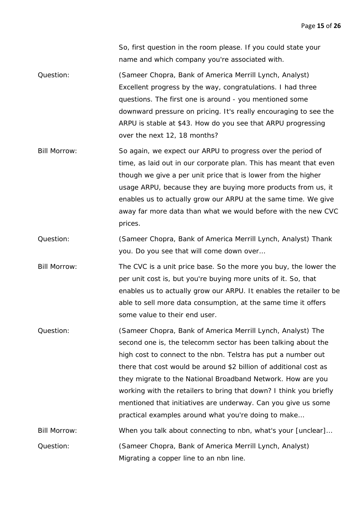So, first question in the room please. If you could state your name and which company you're associated with.

Question: (Sameer Chopra, Bank of America Merrill Lynch, Analyst) Excellent progress by the way, congratulations. I had three questions. The first one is around - you mentioned some downward pressure on pricing. It's really encouraging to see the ARPU is stable at \$43. How do you see that ARPU progressing over the next 12, 18 months?

Bill Morrow: So again, we expect our ARPU to progress over the period of time, as laid out in our corporate plan. This has meant that even though we give a per unit price that is lower from the higher usage ARPU, because they are buying more products from us, it enables us to actually grow our ARPU at the same time. We give away far more data than what we would before with the new CVC prices.

Question: (Sameer Chopra, Bank of America Merrill Lynch, Analyst) Thank you. Do you see that will come down over…

Bill Morrow: The CVC is a unit price base. So the more you buy, the lower the per unit cost is, but you're buying more units of it. So, that enables us to actually grow our ARPU. It enables the retailer to be able to sell more data consumption, at the same time it offers some value to their end user.

Question: (Sameer Chopra, Bank of America Merrill Lynch, Analyst) The second one is, the telecomm sector has been talking about the high cost to connect to the nbn. Telstra has put a number out there that cost would be around \$2 billion of additional cost as they migrate to the National Broadband Network. How are you working with the retailers to bring that down? I think you briefly mentioned that initiatives are underway. Can you give us some practical examples around what you're doing to make…

Bill Morrow: When you talk about connecting to nbn, what's your [unclear]... Question: (Sameer Chopra, Bank of America Merrill Lynch, Analyst) Migrating a copper line to an nbn line.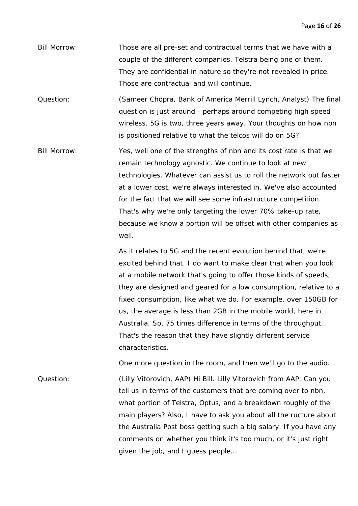Bill Morrow: Those are all pre-set and contractual terms that we have with a couple of the different companies, Telstra being one of them. They are confidential in nature so they're not revealed in price. Those are contractual and will continue.

Question: (Sameer Chopra, Bank of America Merrill Lynch, Analyst) The final question is just around - perhaps around competing high speed wireless. 5G is two, three years away. Your thoughts on how nbn is positioned relative to what the telcos will do on 5G?

Bill Morrow: Yes, well one of the strengths of nbn and its cost rate is that we remain technology agnostic. We continue to look at new technologies. Whatever can assist us to roll the network out faster at a lower cost, we're always interested in. We've also accounted for the fact that we will see some infrastructure competition. That's why we're only targeting the lower 70% take-up rate, because we know a portion will be offset with other companies as well.

> As it relates to 5G and the recent evolution behind that, we're excited behind that. I do want to make clear that when you look at a mobile network that's going to offer those kinds of speeds, they are designed and geared for a low consumption, relative to a fixed consumption, like what we do. For example, over 150GB for us, the average is less than 2GB in the mobile world, here in Australia. So, 75 times difference in terms of the throughput. That's the reason that they have slightly different service characteristics.

One more question in the room, and then we'll go to the audio.

Question: (Lilly Vitorovich, AAP) Hi Bill. Lilly Vitorovich from AAP. Can you tell us in terms of the customers that are coming over to nbn, what portion of Telstra, Optus, and a breakdown roughly of the main players? Also, I have to ask you about all the ructure about the Australia Post boss getting such a big salary. If you have any comments on whether you think it's too much, or it's just right given the job, and I guess people…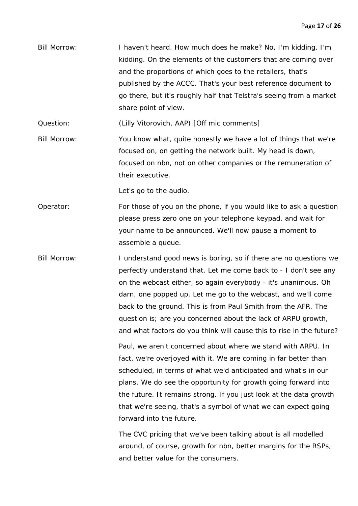Bill Morrow: I haven't heard. How much does he make? No, I'm kidding. I'm kidding. On the elements of the customers that are coming over and the proportions of which goes to the retailers, that's published by the ACCC. That's your best reference document to go there, but it's roughly half that Telstra's seeing from a market share point of view.

Question: (Lilly Vitorovich, AAP) [Off mic comments]

Bill Morrow: You know what, quite honestly we have a lot of things that we're focused on, on getting the network built. My head is down, focused on nbn, not on other companies or the remuneration of their executive.

Let's go to the audio.

Operator: For those of you on the phone, if you would like to ask a question please press zero one on your telephone keypad, and wait for your name to be announced. We'll now pause a moment to assemble a queue.

Bill Morrow: I understand good news is boring, so if there are no questions we perfectly understand that. Let me come back to - I don't see any on the webcast either, so again everybody - it's unanimous. Oh darn, one popped up. Let me go to the webcast, and we'll come back to the ground. This is from Paul Smith from the AFR. The question is; are you concerned about the lack of ARPU growth, and what factors do you think will cause this to rise in the future?

> Paul, we aren't concerned about where we stand with ARPU. In fact, we're overjoyed with it. We are coming in far better than scheduled, in terms of what we'd anticipated and what's in our plans. We do see the opportunity for growth going forward into the future. It remains strong. If you just look at the data growth that we're seeing, that's a symbol of what we can expect going forward into the future.

The CVC pricing that we've been talking about is all modelled around, of course, growth for nbn, better margins for the RSPs, and better value for the consumers.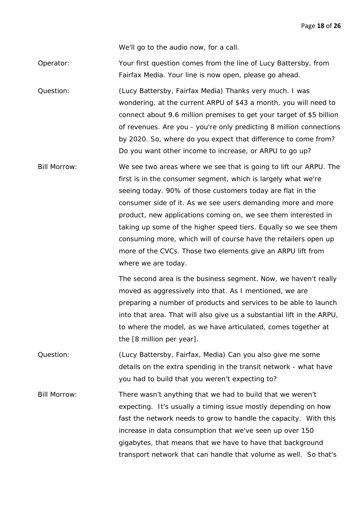Page **18** of **26**

We'll go to the audio now, for a call.

Operator: Your first question comes from the line of Lucy Battersby, from Fairfax Media. Your line is now open, please go ahead.

Question: (Lucy Battersby, Fairfax Media) Thanks very much. I was wondering, at the current ARPU of \$43 a month, you will need to connect about 9.6 million premises to get your target of \$5 billion of revenues. Are you - you're only predicting 8 million connections by 2020. So, where do you expect that difference to come from? Do you want other income to increase, or ARPU to go up?

Bill Morrow: We see two areas where we see that is going to lift our ARPU. The first is in the consumer segment, which is largely what we're seeing today. 90% of those customers today are flat in the consumer side of it. As we see users demanding more and more product, new applications coming on, we see them interested in taking up some of the higher speed tiers. Equally so we see them consuming more, which will of course have the retailers open up more of the CVCs. Those two elements give an ARPU lift from where we are today.

> The second area is the business segment. Now, we haven't really moved as aggressively into that. As I mentioned, we are preparing a number of products and services to be able to launch into that area. That will also give us a substantial lift in the ARPU, to where the model, as we have articulated, comes together at the [8 million per year].

Question: (Lucy Battersby, Fairfax, Media) Can you also give me some details on the extra spending in the transit network - what have you had to build that you weren't expecting to?

Bill Morrow: There wasn't anything that we had to build that we weren't expecting. It's usually a timing issue mostly depending on how fast the network needs to grow to handle the capacity. With this increase in data consumption that we've seen up over 150 gigabytes, that means that we have to have that background transport network that can handle that volume as well. So that's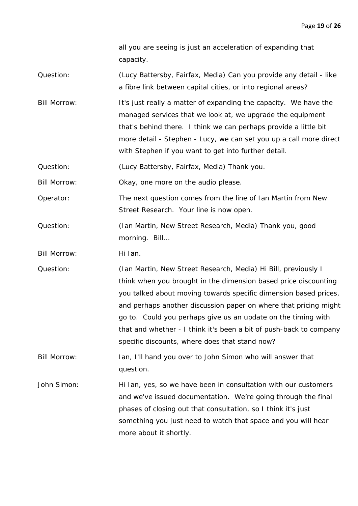all you are seeing is just an acceleration of expanding that capacity.

- Question: (Lucy Battersby, Fairfax, Media) Can you provide any detail like a fibre link between capital cities, or into regional areas?
- Bill Morrow: It's just really a matter of expanding the capacity. We have the managed services that we look at, we upgrade the equipment that's behind there. I think we can perhaps provide a little bit more detail - Stephen - Lucy, we can set you up a call more direct with Stephen if you want to get into further detail.
- Question: (Lucy Battersby, Fairfax, Media) Thank you.

Bill Morrow: Okay, one more on the audio please.

Operator: The next question comes from the line of Ian Martin from New Street Research. Your line is now open.

- Question: (Ian Martin, New Street Research, Media) Thank you, good morning. Bill…
- Bill Morrow: Hi Ian.

Question: (Ian Martin, New Street Research, Media) Hi Bill, previously I think when you brought in the dimension based price discounting you talked about moving towards specific dimension based prices, and perhaps another discussion paper on where that pricing might go to. Could you perhaps give us an update on the timing with that and whether - I think it's been a bit of push-back to company specific discounts, where does that stand now?

Bill Morrow: Ian, I'll hand you over to John Simon who will answer that question.

John Simon: Hi Ian, yes, so we have been in consultation with our customers and we've issued documentation. We're going through the final phases of closing out that consultation, so I think it's just something you just need to watch that space and you will hear more about it shortly.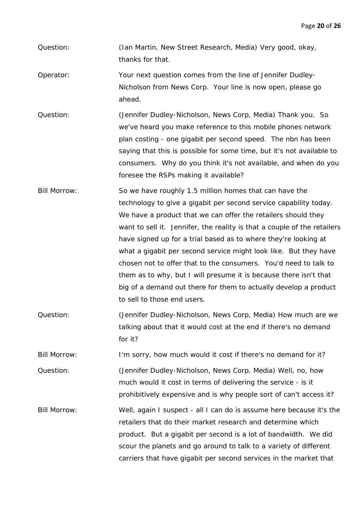Question: (Ian Martin, New Street Research, Media) Very good, okay, thanks for that.

Operator: Your next question comes from the line of Jennifer Dudley-Nicholson from News Corp. Your line is now open, please go ahead.

Question: (Jennifer Dudley-Nicholson, News Corp, Media) Thank you. So we've heard you make reference to this mobile phones network plan costing - one gigabit per second speed. The nbn has been saying that this is possible for some time, but it's not available to consumers. Why do you think it's not available, and when do you foresee the RSPs making it available?

Bill Morrow: So we have roughly 1.5 million homes that can have the technology to give a gigabit per second service capability today. We have a product that we can offer the retailers should they want to sell it. Jennifer, the reality is that a couple of the retailers have signed up for a trial based as to where they're looking at what a gigabit per second service might look like. But they have chosen not to offer that to the consumers. You'd need to talk to them as to why, but I will presume it is because there isn't that big of a demand out there for them to actually develop a product to sell to those end users.

Question: (Jennifer Dudley-Nicholson, News Corp, Media) How much are we talking about that it would cost at the end if there's no demand for it?

Bill Morrow: I'm sorry, how much would it cost if there's no demand for it? Question: (Jennifer Dudley-Nicholson, News Corp, Media) Well, no, how much would it cost in terms of delivering the service - is it prohibitively expensive and is why people sort of can't access it?

Bill Morrow: Well, again I suspect - all I can do is assume here because it's the retailers that do their market research and determine which product. But a gigabit per second is a lot of bandwidth. We did scour the planets and go around to talk to a variety of different carriers that have gigabit per second services in the market that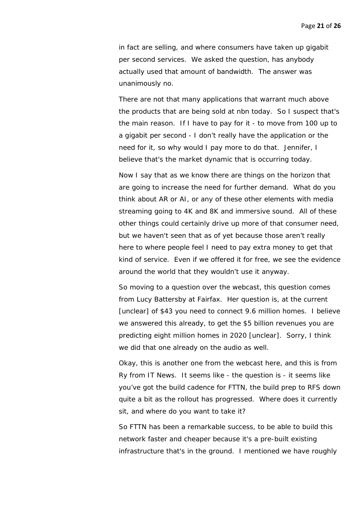in fact are selling, and where consumers have taken up gigabit per second services. We asked the question, has anybody actually used that amount of bandwidth. The answer was unanimously no.

There are not that many applications that warrant much above the products that are being sold at nbn today. So I suspect that's the main reason. If I have to pay for it - to move from 100 up to a gigabit per second - I don't really have the application or the need for it, so why would I pay more to do that. Jennifer, I believe that's the market dynamic that is occurring today.

Now I say that as we know there are things on the horizon that are going to increase the need for further demand. What do you think about AR or AI, or any of these other elements with media streaming going to 4K and 8K and immersive sound. All of these other things could certainly drive up more of that consumer need, but we haven't seen that as of yet because those aren't really here to where people feel I need to pay extra money to get that kind of service. Even if we offered it for free, we see the evidence around the world that they wouldn't use it anyway.

So moving to a question over the webcast, this question comes from Lucy Battersby at Fairfax. Her question is, at the current [unclear] of \$43 you need to connect 9.6 million homes. I believe we answered this already, to get the \$5 billion revenues you are predicting eight million homes in 2020 [unclear]. Sorry, I think we did that one already on the audio as well.

Okay, this is another one from the webcast here, and this is from Ry from IT News. It seems like - the question is - it seems like you've got the build cadence for FTTN, the build prep to RFS down quite a bit as the rollout has progressed. Where does it currently sit, and where do you want to take it?

So FTTN has been a remarkable success, to be able to build this network faster and cheaper because it's a pre-built existing infrastructure that's in the ground. I mentioned we have roughly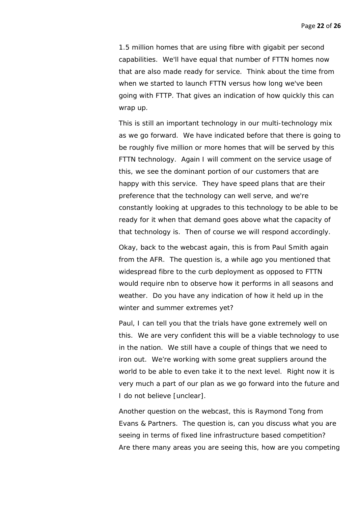1.5 million homes that are using fibre with gigabit per second capabilities. We'll have equal that number of FTTN homes now that are also made ready for service. Think about the time from when we started to launch FTTN versus how long we've been going with FTTP. That gives an indication of how quickly this can wrap up.

This is still an important technology in our multi-technology mix as we go forward. We have indicated before that there is going to be roughly five million or more homes that will be served by this FTTN technology. Again I will comment on the service usage of this, we see the dominant portion of our customers that are happy with this service. They have speed plans that are their preference that the technology can well serve, and we're constantly looking at upgrades to this technology to be able to be ready for it when that demand goes above what the capacity of that technology is. Then of course we will respond accordingly.

Okay, back to the webcast again, this is from Paul Smith again from the AFR. The question is, a while ago you mentioned that widespread fibre to the curb deployment as opposed to FTTN would require nbn to observe how it performs in all seasons and weather. Do you have any indication of how it held up in the winter and summer extremes yet?

Paul, I can tell you that the trials have gone extremely well on this. We are very confident this will be a viable technology to use in the nation. We still have a couple of things that we need to iron out. We're working with some great suppliers around the world to be able to even take it to the next level. Right now it is very much a part of our plan as we go forward into the future and I do not believe [unclear].

Another question on the webcast, this is Raymond Tong from Evans & Partners. The question is, can you discuss what you are seeing in terms of fixed line infrastructure based competition? Are there many areas you are seeing this, how are you competing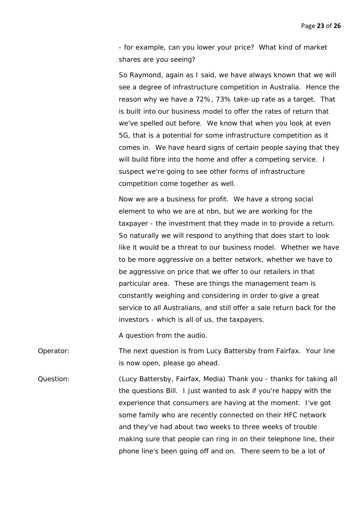- for example, can you lower your price? What kind of market shares are you seeing?

So Raymond, again as I said, we have always known that we will see a degree of infrastructure competition in Australia. Hence the reason why we have a 72%, 73% take-up rate as a target. That is built into our business model to offer the rates of return that we've spelled out before. We know that when you look at even 5G, that is a potential for some infrastructure competition as it comes in. We have heard signs of certain people saying that they will build fibre into the home and offer a competing service. I suspect we're going to see other forms of infrastructure competition come together as well.

Now we are a business for profit. We have a strong social element to who we are at nbn, but we are working for the taxpayer - the investment that they made in to provide a return. So naturally we will respond to anything that does start to look like it would be a threat to our business model. Whether we have to be more aggressive on a better network, whether we have to be aggressive on price that we offer to our retailers in that particular area. These are things the management team is constantly weighing and considering in order to give a great service to all Australians, and still offer a sale return back for the investors - which is all of us, the taxpayers.

A question from the audio.

Operator: The next question is from Lucy Battersby from Fairfax. Your line is now open, please go ahead.

Question: (Lucy Battersby, Fairfax, Media) Thank you - thanks for taking all the questions Bill. I just wanted to ask if you're happy with the experience that consumers are having at the moment. I've got some family who are recently connected on their HFC network and they've had about two weeks to three weeks of trouble making sure that people can ring in on their telephone line, their phone line's been going off and on. There seem to be a lot of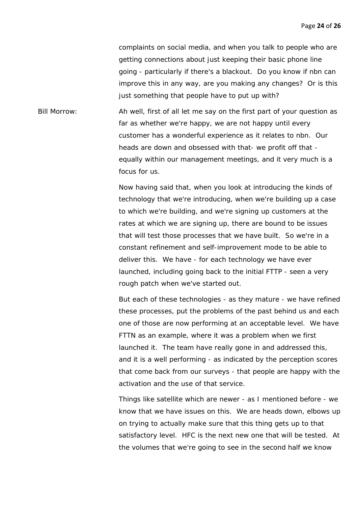complaints on social media, and when you talk to people who are getting connections about just keeping their basic phone line going - particularly if there's a blackout. Do you know if nbn can improve this in any way, are you making any changes? Or is this just something that people have to put up with?

Bill Morrow: Ah well, first of all let me say on the first part of your question as far as whether we're happy, we are not happy until every customer has a wonderful experience as it relates to nbn. Our heads are down and obsessed with that- we profit off that equally within our management meetings, and it very much is a focus for us.

> Now having said that, when you look at introducing the kinds of technology that we're introducing, when we're building up a case to which we're building, and we're signing up customers at the rates at which we are signing up, there are bound to be issues that will test those processes that we have built. So we're in a constant refinement and self-improvement mode to be able to deliver this. We have - for each technology we have ever launched, including going back to the initial FTTP - seen a very rough patch when we've started out.

But each of these technologies - as they mature - we have refined these processes, put the problems of the past behind us and each one of those are now performing at an acceptable level. We have FTTN as an example, where it was a problem when we first launched it. The team have really gone in and addressed this, and it is a well performing - as indicated by the perception scores that come back from our surveys - that people are happy with the activation and the use of that service.

Things like satellite which are newer - as I mentioned before - we know that we have issues on this. We are heads down, elbows up on trying to actually make sure that this thing gets up to that satisfactory level. HFC is the next new one that will be tested. At the volumes that we're going to see in the second half we know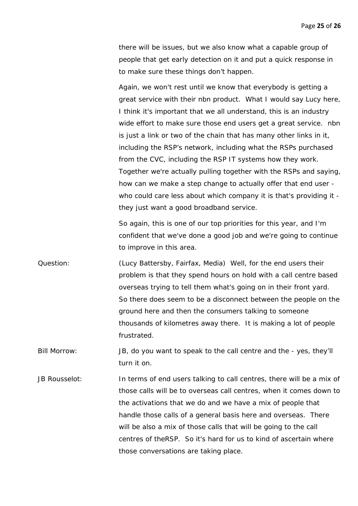there will be issues, but we also know what a capable group of people that get early detection on it and put a quick response in to make sure these things don't happen.

Again, we won't rest until we know that everybody is getting a great service with their nbn product. What I would say Lucy here, I think it's important that we all understand, this is an industry wide effort to make sure those end users get a great service. nbn is just a link or two of the chain that has many other links in it, including the RSP's network, including what the RSPs purchased from the CVC, including the RSP IT systems how they work. Together we're actually pulling together with the RSPs and saying, how can we make a step change to actually offer that end user who could care less about which company it is that's providing it they just want a good broadband service.

So again, this is one of our top priorities for this year, and I'm confident that we've done a good job and we're going to continue to improve in this area.

Question: (Lucy Battersby, Fairfax, Media) Well, for the end users their problem is that they spend hours on hold with a call centre based overseas trying to tell them what's going on in their front yard. So there does seem to be a disconnect between the people on the ground here and then the consumers talking to someone thousands of kilometres away there. It is making a lot of people frustrated.

Bill Morrow: JB, do you want to speak to the call centre and the - yes, they'll turn it on.

JB Rousselot: In terms of end users talking to call centres, there will be a mix of those calls will be to overseas call centres, when it comes down to the activations that we do and we have a mix of people that handle those calls of a general basis here and overseas. There will be also a mix of those calls that will be going to the call centres of theRSP. So it's hard for us to kind of ascertain where those conversations are taking place.